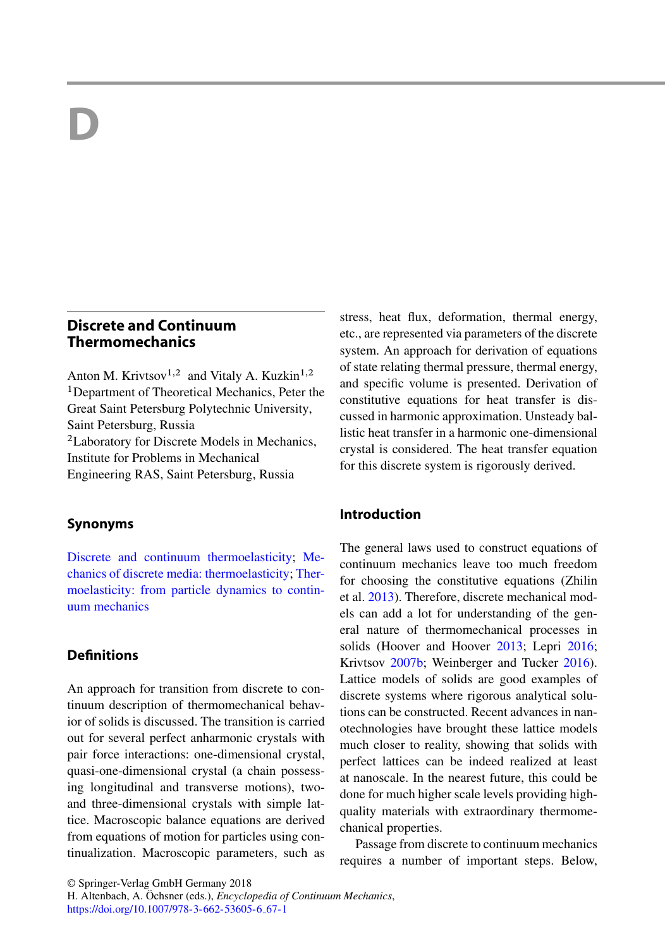# **D**

# **Discrete and Continuum Thermomechanics**

Anton M. Krivtsov<sup>1,2</sup> and Vitaly A. Kuzkin<sup>1,2</sup> <sup>1</sup>Department of Theoretical Mechanics, Peter the Great Saint Petersburg Polytechnic University, Saint Petersburg, Russia <sup>2</sup>Laboratory for Discrete Models in Mechanics, Institute for Problems in Mechanical Engineering RAS, Saint Petersburg, Russia

# **Synonyms**

[Discrete](http://link.springer.com/Mechanics of discrete media: thermoelasticity)[and](http://link.springer.com/Mechanics of discrete media: thermoelasticity)[continuum](http://link.springer.com/Mechanics of discrete media: thermoelasticity)[thermoelasticity;](http://link.springer.com/Mechanics of discrete media: thermoelasticity) Mechanics of discrete media: thermoelasticity; Ther[moelasticity: from particle dynamics to contin](http://link.springer.com/Thermoelasticity: from particle dynamics to continuum mechanics)uum mechanics

# **Definitions**

An approach for transition from discrete to continuum description of thermomechanical behavior of solids is discussed. The transition is carried out for several perfect anharmonic crystals with pair force interactions: one-dimensional crystal, quasi-one-dimensional crystal (a chain possessing longitudinal and transverse motions), twoand three-dimensional crystals with simple lattice. Macroscopic balance equations are derived from equations of motion for particles using continualization. Macroscopic parameters, such as

stress, heat flux, deformation, thermal energy, etc., are represented via parameters of the discrete system. An approach for derivation of equations of state relating thermal pressure, thermal energy, and specific volume is presented. Derivation of constitutive equations for heat transfer is discussed in harmonic approximation. Unsteady ballistic heat transfer in a harmonic one-dimensional crystal is considered. The heat transfer equation for this discrete system is rigorously derived.

# **Introduction**

The general laws used to construct equations of continuum mechanics leave too much freedom for choosing the constitutive equations (Zhilin et al. [2013\)](#page-15-0). Therefore, discrete mechanical models can add a lot for understanding of the general nature of thermomechanical processes in solids (Hoover and Hoover [2013;](#page-15-1) Lepri [2016;](#page-15-2) Krivtsov [2007b;](#page-15-3) Weinberger and Tucker [2016\)](#page-15-4). Lattice models of solids are good examples of discrete systems where rigorous analytical solutions can be constructed. Recent advances in nanotechnologies have brought these lattice models much closer to reality, showing that solids with perfect lattices can be indeed realized at least at nanoscale. In the nearest future, this could be done for much higher scale levels providing highquality materials with extraordinary thermomechanical properties.

Passage from discrete to continuum mechanics requires a number of important steps. Below,

<sup>©</sup> Springer-Verlag GmbH Germany 2018

H. Altenbach, A. Öchsner (eds.), *Encyclopedia of Continuum Mechanics*, [https://doi.org/10.1007/978-3-662-53605-6](https://doi.org/10.1007/978-3-662-53605-6_67-1)\_67-1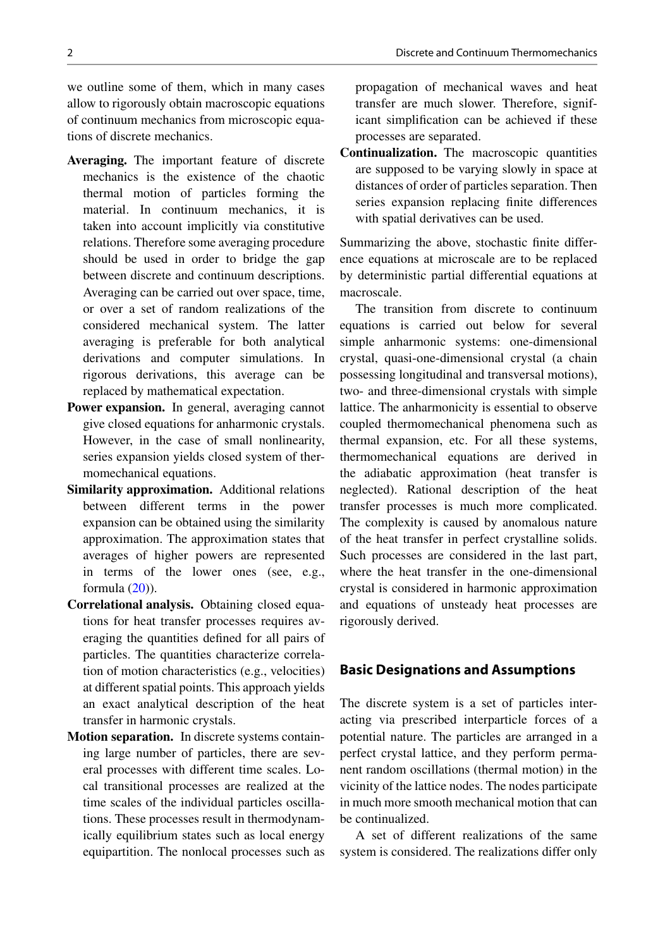we outline some of them, which in many cases allow to rigorously obtain macroscopic equations of continuum mechanics from microscopic equations of discrete mechanics.

- **Averaging.** The important feature of discrete mechanics is the existence of the chaotic thermal motion of particles forming the material. In continuum mechanics, it is taken into account implicitly via constitutive relations. Therefore some averaging procedure should be used in order to bridge the gap between discrete and continuum descriptions. Averaging can be carried out over space, time, or over a set of random realizations of the considered mechanical system. The latter averaging is preferable for both analytical derivations and computer simulations. In rigorous derivations, this average can be replaced by mathematical expectation.
- **Power expansion.** In general, averaging cannot give closed equations for anharmonic crystals. However, in the case of small nonlinearity, series expansion yields closed system of thermomechanical equations.
- **Similarity approximation.** Additional relations between different terms in the power expansion can be obtained using the similarity approximation. The approximation states that averages of higher powers are represented in terms of the lower ones (see, e.g., formula [\(20\)](#page-4-0)).
- **Correlational analysis.** Obtaining closed equations for heat transfer processes requires averaging the quantities defined for all pairs of particles. The quantities characterize correlation of motion characteristics (e.g., velocities) at different spatial points. This approach yields an exact analytical description of the heat transfer in harmonic crystals.
- **Motion separation.** In discrete systems containing large number of particles, there are several processes with different time scales. Local transitional processes are realized at the time scales of the individual particles oscillations. These processes result in thermodynamically equilibrium states such as local energy equipartition. The nonlocal processes such as

propagation of mechanical waves and heat transfer are much slower. Therefore, significant simplification can be achieved if these processes are separated.

**Continualization.** The macroscopic quantities are supposed to be varying slowly in space at distances of order of particles separation. Then series expansion replacing finite differences with spatial derivatives can be used.

Summarizing the above, stochastic finite difference equations at microscale are to be replaced by deterministic partial differential equations at macroscale.

The transition from discrete to continuum equations is carried out below for several simple anharmonic systems: one-dimensional crystal, quasi-one-dimensional crystal (a chain possessing longitudinal and transversal motions), two- and three-dimensional crystals with simple lattice. The anharmonicity is essential to observe coupled thermomechanical phenomena such as thermal expansion, etc. For all these systems, thermomechanical equations are derived in the adiabatic approximation (heat transfer is neglected). Rational description of the heat transfer processes is much more complicated. The complexity is caused by anomalous nature of the heat transfer in perfect crystalline solids. Such processes are considered in the last part, where the heat transfer in the one-dimensional crystal is considered in harmonic approximation and equations of unsteady heat processes are rigorously derived.

## **Basic Designations and Assumptions**

The discrete system is a set of particles interacting via prescribed interparticle forces of a potential nature. The particles are arranged in a perfect crystal lattice, and they perform permanent random oscillations (thermal motion) in the vicinity of the lattice nodes. The nodes participate in much more smooth mechanical motion that can be continualized.

A set of different realizations of the same system is considered. The realizations differ only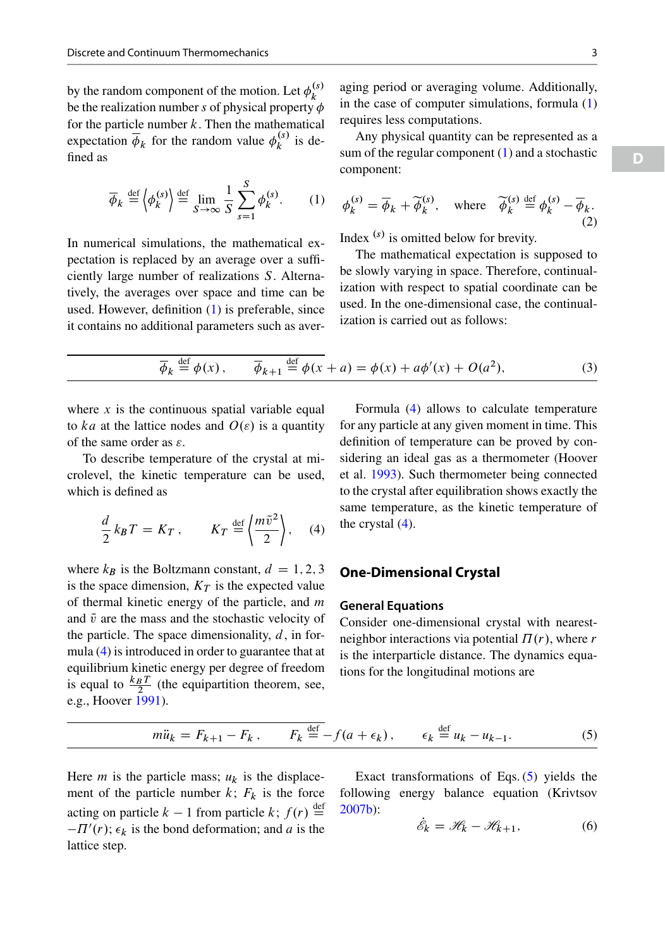by the random component of the motion. Let  $\phi_k^{(s)}$ k be the realization number s of physical property  $\phi$ for the particle number  $k$ . Then the mathematical expectation  $\overline{\phi}_k$  for the random value  $\phi_k^{(s)}$  is defined as

<span id="page-2-0"></span>
$$
\overline{\phi}_k \stackrel{\text{def}}{=} \left\langle \phi_k^{(s)} \right\rangle \stackrel{\text{def}}{=} \lim_{S \to \infty} \frac{1}{S} \sum_{s=1}^S \phi_k^{(s)}.
$$
 (1)

In numerical simulations, the mathematical expectation is replaced by an average over a sufficiently large number of realizations S. Alternatively, the averages over space and time can be used. However, definition [\(1\)](#page-2-0) is preferable, since it contains no additional parameters such as averaging period or averaging volume. Additionally, in the case of computer simulations, formula [\(1\)](#page-2-0) requires less computations.

Any physical quantity can be represented as a sum of the regular component  $(1)$  and a stochastic component:

$$
\phi_k^{(s)} = \overline{\phi}_k + \widetilde{\phi}_k^{(s)}, \quad \text{where} \quad \widetilde{\phi}_k^{(s)} \stackrel{\text{def}}{=} \phi_k^{(s)} - \overline{\phi}_k. \tag{2}
$$

Index  $(s)$  is omitted below for brevity.

The mathematical expectation is supposed to be slowly varying in space. Therefore, continualization with respect to spatial coordinate can be used. In the one-dimensional case, the continualization is carried out as follows:

$$
\overline{\phi}_k \stackrel{\text{def}}{=} \phi(x), \qquad \overline{\phi}_{k+1} \stackrel{\text{def}}{=} \phi(x+a) = \phi(x) + a\phi'(x) + O(a^2), \tag{3}
$$

where  $x$  is the continuous spatial variable equal to ka at the lattice nodes and  $O(\varepsilon)$  is a quantity of the same order as  $\varepsilon$ .

To describe temperature of the crystal at microlevel, the kinetic temperature can be used, which is defined as

<span id="page-2-1"></span>
$$
\frac{d}{2}k_BT = K_T, \qquad K_T \stackrel{\text{def}}{=} \left\langle \frac{m\tilde{v}^2}{2} \right\rangle, \quad (4)
$$

where  $k_B$  is the Boltzmann constant,  $d = 1, 2, 3$ is the space dimension,  $K_T$  is the expected value of thermal kinetic energy of the particle, and  $m$ and  $\tilde{v}$  are the mass and the stochastic velocity of the particle. The space dimensionality,  $d$ , in formula [\(4\)](#page-2-1) is introduced in order to guarantee that at equilibrium kinetic energy per degree of freedom is equal to  $\frac{k_B T}{2}$  (the equipartition theorem, see, e.g., Hoover [1991\)](#page-15-5).

<span id="page-2-3"></span>Formula [\(4\)](#page-2-1) allows to calculate temperature for any particle at any given moment in time. This definition of temperature can be proved by considering an ideal gas as a thermometer (Hoover et al. [1993\)](#page-15-6). Such thermometer being connected to the crystal after equilibration shows exactly the same temperature, as the kinetic temperature of the crystal  $(4)$ .

## **One-Dimensional Crystal**

## **General Equations**

Consider one-dimensional crystal with nearestneighbor interactions via potential  $\Pi(r)$ , where r is the interparticle distance. The dynamics equations for the longitudinal motions are

$$
m\ddot{u}_k = F_{k+1} - F_k, \qquad F_k \stackrel{\text{def}}{=} -f(a + \epsilon_k), \qquad \epsilon_k \stackrel{\text{def}}{=} u_k - u_{k-1}.
$$
 (5)

Here  $m$  is the particle mass;  $u_k$  is the displacement of the particle number  $k$ ;  $F_k$  is the force acting on particle  $k-1$  from particle  $k$ ;  $f(r) \stackrel{\text{def}}{=}$  $-TT(r)$ ;  $\epsilon_k$  is the bond deformation; and a is the lattice step.

Exact transformations of Eqs. [\(5\)](#page-2-2) yields the following energy balance equation (Krivtsov [2007b\)](#page-15-3):

<span id="page-2-4"></span><span id="page-2-2"></span>
$$
\dot{\mathscr{E}}_k = \mathscr{H}_k - \mathscr{H}_{k+1},\tag{6}
$$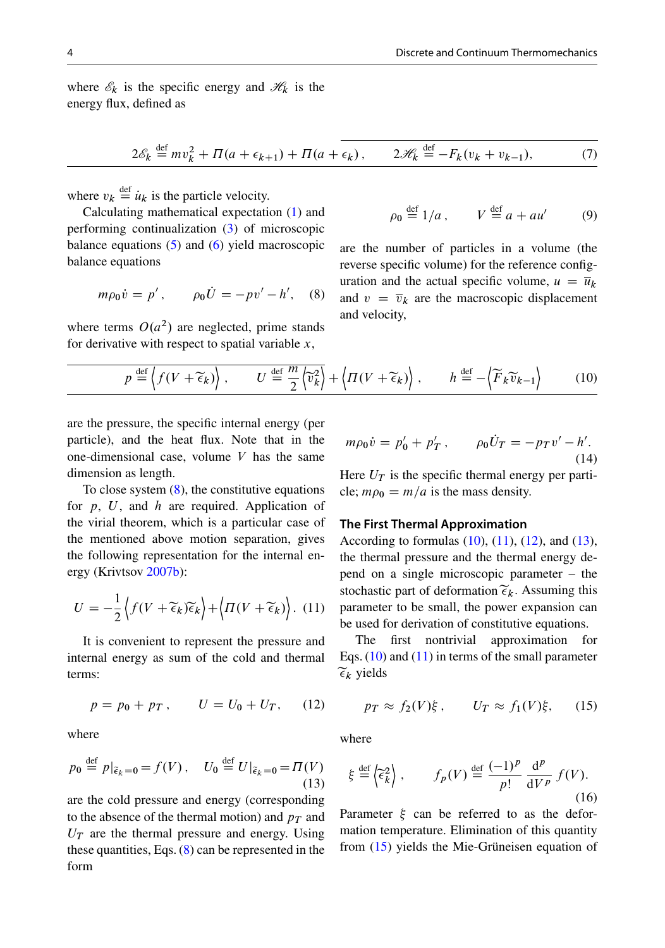where  $\mathscr{E}_k$  is the specific energy and  $\mathscr{H}_k$  is the energy flux, defined as

$$
2\mathscr{E}_k \stackrel{\text{def}}{=} mv_k^2 + \Pi(a + \epsilon_{k+1}) + \Pi(a + \epsilon_k), \qquad 2\mathscr{H}_k \stackrel{\text{def}}{=} -F_k(v_k + v_{k-1}), \tag{7}
$$

where  $v_k \stackrel{\text{def}}{=} \dot{u}_k$  is the particle velocity.

Calculating mathematical expectation [\(1\)](#page-2-0) and performing continualization [\(3\)](#page-2-3) of microscopic balance equations  $(5)$  and  $(6)$  yield macroscopic balance equations

<span id="page-3-0"></span>
$$
m\rho_0 \dot{v} = p', \qquad \rho_0 \dot{U} = -pv' - h', \quad (8)
$$

where terms  $O(a^2)$  are neglected, prime stands for derivative with respect to spatial variable  $x$ ,

<span id="page-3-6"></span>
$$
\rho_0 \stackrel{\text{def}}{=} 1/a \,, \qquad V \stackrel{\text{def}}{=} a + au' \tag{9}
$$

are the number of particles in a volume (the reverse specific volume) for the reference configuration and the actual specific volume,  $u = \overline{u}_k$ and  $v = \overline{v}_k$  are the macroscopic displacement and velocity,

$$
p \stackrel{\text{def}}{=} \left\langle f(V + \widetilde{\epsilon}_k) \right\rangle, \qquad U \stackrel{\text{def}}{=} \frac{m}{2} \left\langle \widetilde{v}_k^2 \right\rangle + \left\langle \Pi(V + \widetilde{\epsilon}_k) \right\rangle, \qquad h \stackrel{\text{def}}{=} - \left\langle \widetilde{F}_k \widetilde{v}_{k-1} \right\rangle \tag{10}
$$

are the pressure, the specific internal energy (per particle), and the heat flux. Note that in the one-dimensional case, volume  $V$  has the same dimension as length.

To close system  $(8)$ , the constitutive equations for  $p$ ,  $U$ , and  $h$  are required. Application of the virial theorem, which is a particular case of the mentioned above motion separation, gives the following representation for the internal energy (Krivtsov [2007b\)](#page-15-3):

<span id="page-3-2"></span>
$$
U = -\frac{1}{2} \left\langle f(V + \widetilde{\epsilon}_k) \widetilde{\epsilon}_k \right\rangle + \left\langle \Pi(V + \widetilde{\epsilon}_k) \right\rangle. (11)
$$

It is convenient to represent the pressure and internal energy as sum of the cold and thermal terms:

<span id="page-3-3"></span>
$$
p = p_0 + p_T, \qquad U = U_0 + U_T, \qquad (12)
$$

where

<span id="page-3-4"></span>
$$
p_0 \stackrel{\text{def}}{=} p|_{\tilde{\epsilon}_k=0} = f(V), \quad U_0 \stackrel{\text{def}}{=} U|_{\tilde{\epsilon}_k=0} = \Pi(V)
$$
\n(13)

are the cold pressure and energy (corresponding to the absence of the thermal motion) and  $p_T$  and  $U_T$  are the thermal pressure and energy. Using these quantities, Eqs.  $(8)$  can be represented in the form

<span id="page-3-7"></span><span id="page-3-1"></span>
$$
m\rho_0 \dot{v} = p'_0 + p'_T, \qquad \rho_0 \dot{U}_T = -p_T v' - h'. \tag{14}
$$

Here  $U_T$  is the specific thermal energy per particle;  $m\rho_0 = m/a$  is the mass density.

#### **The First Thermal Approximation**

According to formulas  $(10)$ ,  $(11)$ ,  $(12)$ , and  $(13)$ , the thermal pressure and the thermal energy depend on a single microscopic parameter – the stochastic part of deformation  $\widetilde{\epsilon}_k$ . Assuming this parameter to be small, the power expansion can be used for derivation of constitutive equations.

The first nontrivial approximation for Eqs.  $(10)$  and  $(11)$  in terms of the small parameter  $\widetilde{\epsilon}_k$  yields

<span id="page-3-5"></span>
$$
p_T \approx f_2(V)\xi, \qquad U_T \approx f_1(V)\xi, \qquad (15)
$$

where

$$
\xi \stackrel{\text{def}}{=} \left\langle \tilde{\epsilon}_k^2 \right\rangle, \qquad f_p(V) \stackrel{\text{def}}{=} \frac{(-1)^p}{p!} \frac{\mathrm{d}^p}{\mathrm{d}V^p} f(V). \tag{16}
$$

Parameter  $\xi$  can be referred to as the deformation temperature. Elimination of this quantity from  $(15)$  yields the Mie-Grüneisen equation of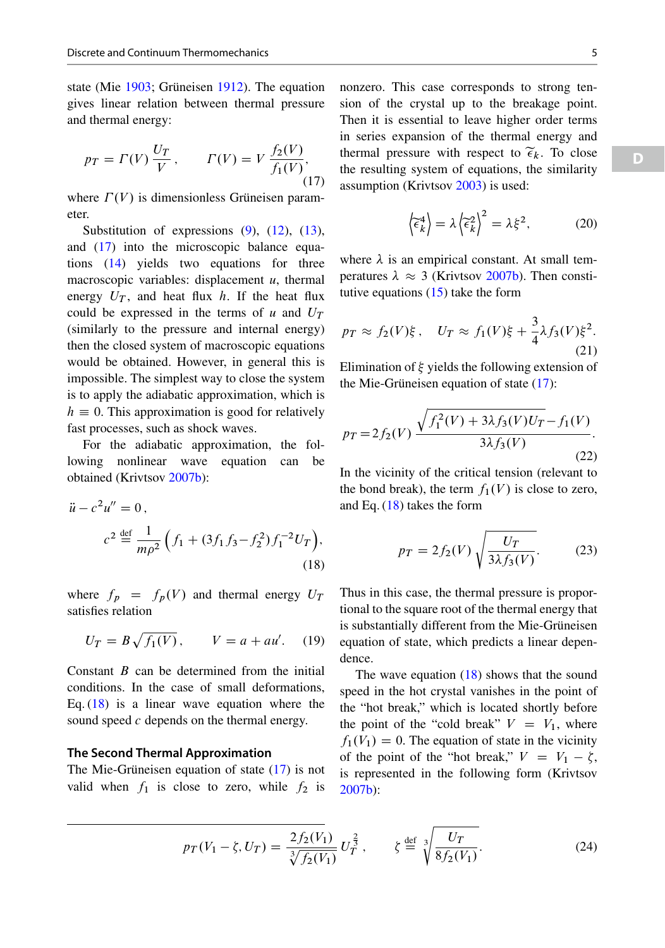state (Mie [1903;](#page-15-7) Grüneisen [1912\)](#page-15-8). The equation gives linear relation between thermal pressure and thermal energy:

<span id="page-4-1"></span>
$$
p_T = \Gamma(V) \frac{U_T}{V}, \qquad \Gamma(V) = V \frac{f_2(V)}{f_1(V)},
$$
\n(17)

where  $\Gamma(V)$  is dimensionless Grüneisen parameter.

Substitution of expressions  $(9)$ ,  $(12)$ ,  $(13)$ , and [\(17\)](#page-4-1) into the microscopic balance equations [\(14\)](#page-3-7) yields two equations for three macroscopic variables: displacement *u*, thermal energy  $U_T$ , and heat flux h. If the heat flux could be expressed in the terms of  $u$  and  $U_T$ (similarly to the pressure and internal energy) then the closed system of macroscopic equations would be obtained. However, in general this is impossible. The simplest way to close the system is to apply the adiabatic approximation, which is  $h \equiv 0$ . This approximation is good for relatively fast processes, such as shock waves.

For the adiabatic approximation, the following nonlinear wave equation can be obtained (Krivtsov [2007b\)](#page-15-3):

$$
\ddot{u} - c^2 u'' = 0,
$$
  
\n
$$
c^2 \stackrel{\text{def}}{=} \frac{1}{m\rho^2} \left( f_1 + (3f_1 f_3 - f_2^2) f_1^{-2} U_T \right),
$$
\n(18)

where  $f_p = f_p(V)$  and thermal energy  $U_T$ satisfies relation

$$
U_T = B\sqrt{f_1(V)}
$$
,  $V = a + au'$ . (19)

Constant  $\hat{B}$  can be determined from the initial conditions. In the case of small deformations, Eq.  $(18)$  is a linear wave equation where the sound speed c depends on the thermal energy.

#### **The Second Thermal Approximation**

The Mie-Grüneisen equation of state  $(17)$  is not valid when  $f_1$  is close to zero, while  $f_2$  is

nonzero. This case corresponds to strong tension of the crystal up to the breakage point. Then it is essential to leave higher order terms in series expansion of the thermal energy and thermal pressure with respect to  $\tilde{\epsilon}_k$ . To close the resulting system of equations, the similarity assumption (Krivtsov [2003\)](#page-15-9) is used:

<span id="page-4-0"></span>
$$
\left\langle \tilde{\epsilon}_k^4 \right\rangle = \lambda \left\langle \tilde{\epsilon}_k^2 \right\rangle^2 = \lambda \xi^2, \tag{20}
$$

where  $\lambda$  is an empirical constant. At small temperatures  $\lambda \approx 3$  (Krivtsov [2007b\)](#page-15-3). Then constitutive equations  $(15)$  take the form

<span id="page-4-4"></span>
$$
p_T \approx f_2(V)\xi, \quad U_T \approx f_1(V)\xi + \frac{3}{4}\lambda f_3(V)\xi^2.
$$
\n(21)

Elimination of  $\xi$  yields the following extension of the Mie-Grüneisen equation of state  $(17)$ :

<span id="page-4-5"></span>
$$
p_T = 2f_2(V) \frac{\sqrt{f_1^2(V) + 3\lambda f_3(V)U_T} - f_1(V)}{3\lambda f_3(V)}.
$$
\n(22)

In the vicinity of the critical tension (relevant to the bond break), the term  $f_1(V)$  is close to zero, and Eq.  $(18)$  takes the form

<span id="page-4-3"></span>
$$
p_T = 2f_2(V)\sqrt{\frac{U_T}{3\lambda f_3(V)}}.\tag{23}
$$

<span id="page-4-2"></span>Thus in this case, the thermal pressure is proportional to the square root of the thermal energy that is substantially different from the Mie-Grüneisen equation of state, which predicts a linear dependence.

The wave equation [\(18\)](#page-4-2) shows that the sound speed in the hot crystal vanishes in the point of the "hot break," which is located shortly before the point of the "cold break"  $V = V_1$ , where  $f_1(V_1) = 0$ . The equation of state in the vicinity of the point of the "hot break,"  $V = V_1 - \zeta$ , is represented in the following form (Krivtsov [2007b\)](#page-15-3):

$$
p_T(V_1 - \zeta, U_T) = \frac{2f_2(V_1)}{\sqrt[3]{f_2(V_1)}} U_T^{\frac{2}{3}}, \qquad \zeta \stackrel{\text{def}}{=} \sqrt[3]{\frac{U_T}{8f_2(V_1)}}.
$$
 (24)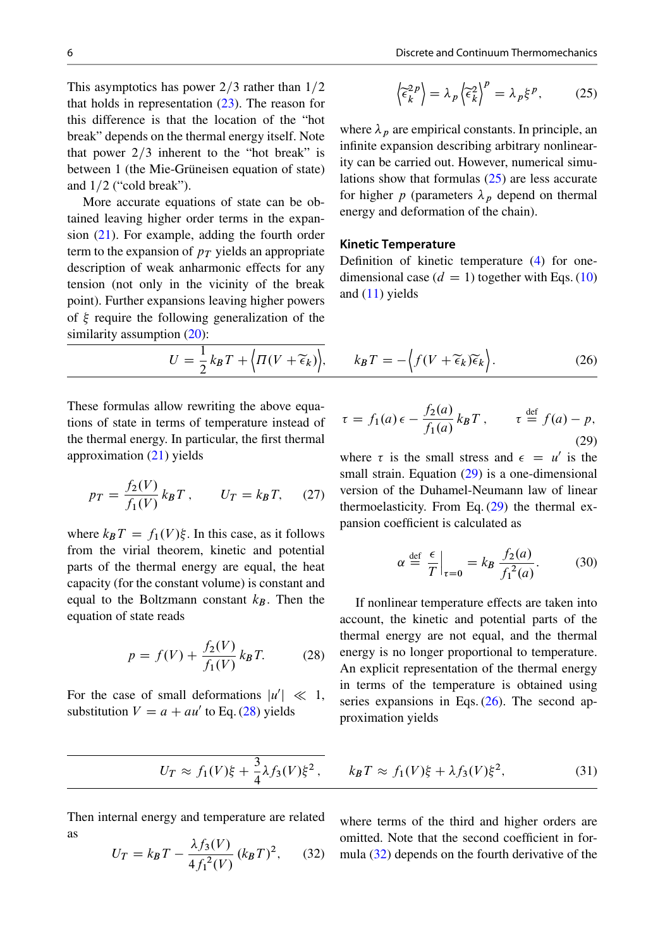where  $\lambda_p$  are empirical constants. In principle, an infinite expansion describing arbitrary nonlinearity can be carried out. However, numerical simulations show that formulas [\(25\)](#page-5-0) are less accurate for higher p (parameters  $\lambda_p$  depend on thermal

Definition of kinetic temperature [\(4\)](#page-2-1) for onedimensional case  $(d = 1)$  together with Eqs. [\(10\)](#page-3-1)

energy and deformation of the chain).

 $\bigg\}^p = \lambda_p \xi^p,$  (25)

This asymptotics has power  $2/3$  rather than  $1/2$ that holds in representation  $(23)$ . The reason for this difference is that the location of the "hot break" depends on the thermal energy itself. Note that power  $2/3$  inherent to the "hot break" is between 1 (the Mie-Grüneisen equation of state) and  $1/2$  ("cold break").

More accurate equations of state can be obtained leaving higher order terms in the expansion [\(21\)](#page-4-4). For example, adding the fourth order term to the expansion of  $p<sub>T</sub>$  yields an appropriate description of weak anharmonic effects for any tension (not only in the vicinity of the break point). Further expansions leaving higher powers of  $\xi$  require the following generalization of the similarity assumption [\(20\)](#page-4-0):

$$
\overline{U} = \frac{1}{2} k_B T + \left\langle \overline{\Pi(V + \widetilde{\epsilon}_k)} \right\rangle, \qquad k_B T = - \left\langle f(V + \widetilde{\epsilon}_k) \widetilde{\epsilon}_k \right\rangle. \tag{26}
$$

and  $(11)$  yields

**Kinetic Temperature**

<span id="page-5-0"></span> $\overline{I}$  $\widetilde{\epsilon}_k^{2p}$ k  $\overline{1}$  $=\lambda_p$  $\left\langle \widetilde{\epsilon}_{k}^{2}\right\rangle$ 

These formulas allow rewriting the above equations of state in terms of temperature instead of the thermal energy. In particular, the first thermal approximation [\(21\)](#page-4-4) yields

$$
p_T = \frac{f_2(V)}{f_1(V)} k_B T, \qquad U_T = k_B T, \quad (27)
$$

where  $k_BT = f_1(V)\xi$ . In this case, as it follows from the virial theorem, kinetic and potential parts of the thermal energy are equal, the heat capacity (for the constant volume) is constant and equal to the Boltzmann constant  $k_B$ . Then the equation of state reads

<span id="page-5-1"></span>
$$
p = f(V) + \frac{f_2(V)}{f_1(V)} k_B T.
$$
 (28)

For the case of small deformations  $|u'| \ll 1$ , substitution  $V = a + au'$  to Eq. [\(28\)](#page-5-1) yields

<span id="page-5-3"></span><span id="page-5-2"></span>
$$
\tau = f_1(a)\epsilon - \frac{f_2(a)}{f_1(a)} k_B T, \qquad \tau \stackrel{\text{def}}{=} f(a) - p,
$$
\n(29)

where  $\tau$  is the small stress and  $\epsilon = u'$  is the small strain. Equation [\(29\)](#page-5-2) is a one-dimensional version of the Duhamel-Neumann law of linear thermoelasticity. From Eq. [\(29\)](#page-5-2) the thermal expansion coefficient is calculated as

$$
\alpha \stackrel{\text{def}}{=} \frac{\epsilon}{T} \Big|_{\tau=0} = k_B \frac{f_2(a)}{f_1^2(a)}.
$$
 (30)

If nonlinear temperature effects are taken into account, the kinetic and potential parts of the thermal energy are not equal, and the thermal energy is no longer proportional to temperature. An explicit representation of the thermal energy in terms of the temperature is obtained using series expansions in Eqs.  $(26)$ . The second approximation yields

$$
U_T \approx f_1(V)\xi + \frac{3}{4}\lambda f_3(V)\xi^2, \qquad k_B T \approx f_1(V)\xi + \lambda f_3(V)\xi^2,\tag{31}
$$

Then internal energy and temperature are related as

<span id="page-5-4"></span>
$$
U_T = k_B T - \frac{\lambda f_3(V)}{4f_1^2(V)} (k_B T)^2, \qquad (32)
$$

<span id="page-5-5"></span>where terms of the third and higher orders are omitted. Note that the second coefficient in formula [\(32\)](#page-5-4) depends on the fourth derivative of the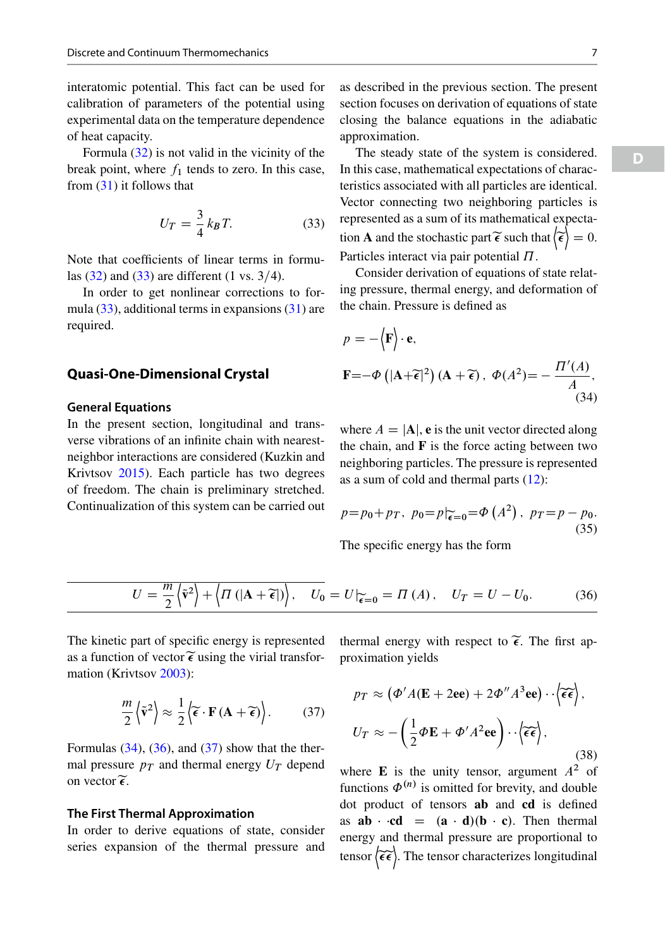interatomic potential. This fact can be used for calibration of parameters of the potential using experimental data on the temperature dependence of heat capacity.

Formula [\(32\)](#page-5-4) is not valid in the vicinity of the break point, where  $f_1$  tends to zero. In this case, from [\(31\)](#page-5-5) it follows that

<span id="page-6-0"></span>
$$
U_T = \frac{3}{4} k_B T. \tag{33}
$$

Note that coefficients of linear terms in formulas  $(32)$  and  $(33)$  are different  $(1 \text{ vs. } 3/4)$ .

In order to get nonlinear corrections to formula  $(33)$ , additional terms in expansions  $(31)$  are required.

## **Quasi-One-Dimensional Crystal**

#### **General Equations**

In the present section, longitudinal and transverse vibrations of an infinite chain with nearestneighbor interactions are considered (Kuzkin and Krivtsov [2015\)](#page-15-10). Each particle has two degrees of freedom. The chain is preliminary stretched. Continualization of this system can be carried out

as described in the previous section. The present section focuses on derivation of equations of state closing the balance equations in the adiabatic approximation.

The steady state of the system is considered. In this case, mathematical expectations of characteristics associated with all particles are identical. Vector connecting two neighboring particles is represented as a sum of its mathematical expectation **A** and the stochastic part  $\tilde{\epsilon}$  such that  $\langle \tilde{\epsilon} \rangle$  $= 0.$ Particles interact via pair potential  $\Pi$ .

Consider derivation of equations of state relating pressure, thermal energy, and deformation of the chain. Pressure is defined as

<span id="page-6-1"></span>
$$
p = -\langle \mathbf{F} \rangle \cdot \mathbf{e},
$$
  

$$
\mathbf{F} = -\Phi\left( |\mathbf{A} + \widetilde{\boldsymbol{\epsilon}}|^2 \right) (\mathbf{A} + \widetilde{\boldsymbol{\epsilon}}), \ \ \Phi(A^2) = -\frac{\Pi'(A)}{A},
$$
  
(34)

where  $A = |\mathbf{A}|$ , **e** is the unit vector directed along the chain, and **F** is the force acting between two neighboring particles. The pressure is represented as a sum of cold and thermal parts [\(12\)](#page-3-3):

$$
p = p_0 + p_T, \ p_0 = p|_{\widetilde{\epsilon}=0} = \Phi(A^2), \ p_T = p - p_0.
$$
\n(35)

<span id="page-6-2"></span>The specific energy has the form

$$
U = \frac{m}{2} \left\langle \tilde{\mathbf{v}}^2 \right\rangle + \left\langle \Pi \left( |\mathbf{A} + \tilde{\boldsymbol{\epsilon}}| \right) \right\rangle, \quad U_0 = U |_{\tilde{\boldsymbol{\epsilon}} = 0} = \Pi \left( A \right), \quad U_T = U - U_0. \tag{36}
$$

The kinetic part of specific energy is represented as a function of vector  $\tilde{\epsilon}$  using the virial transformation (Krivtsov [2003\)](#page-15-9):

<span id="page-6-3"></span>
$$
\frac{m}{2}\left\langle \tilde{\mathbf{v}}^2 \right\rangle \approx \frac{1}{2}\left\langle \tilde{\boldsymbol{\epsilon}} \cdot \mathbf{F}\left(\mathbf{A} + \tilde{\boldsymbol{\epsilon}}\right) \right\rangle. \tag{37}
$$

Formulas  $(34)$ ,  $(36)$ , and  $(37)$  show that the thermal pressure  $p_T$  and thermal energy  $U_T$  depend on vector  $\widetilde{\epsilon}$ .

## **The First Thermal Approximation**

In order to derive equations of state, consider series expansion of the thermal pressure and thermal energy with respect to  $\tilde{\epsilon}$ . The first approximation yields

<span id="page-6-4"></span>
$$
p_T \approx (\Phi' A(\mathbf{E} + 2\mathbf{e}\mathbf{e}) + 2\Phi'' A^3 \mathbf{e}\mathbf{e}) \cdot \langle \widetilde{\epsilon \epsilon} \rangle,
$$
  

$$
U_T \approx -\left(\frac{1}{2}\Phi \mathbf{E} + \Phi' A^2 \mathbf{e}\mathbf{e}\right) \cdot \langle \widetilde{\epsilon \epsilon} \rangle,
$$
 (38)

where **E** is the unity tensor, argument  $A^2$  of functions  $\Phi^{(n)}$  is omitted for brevity, and double dot product of tensors **ab** and **cd** is defined as  $ab \cdot cd = (a \cdot d)(b \cdot c)$ . Then thermal energy and thermal pressure are proportional to tensor  $\left\langle \tilde{\epsilon} \epsilon \right\rangle$ . The tensor characterizes longitudinal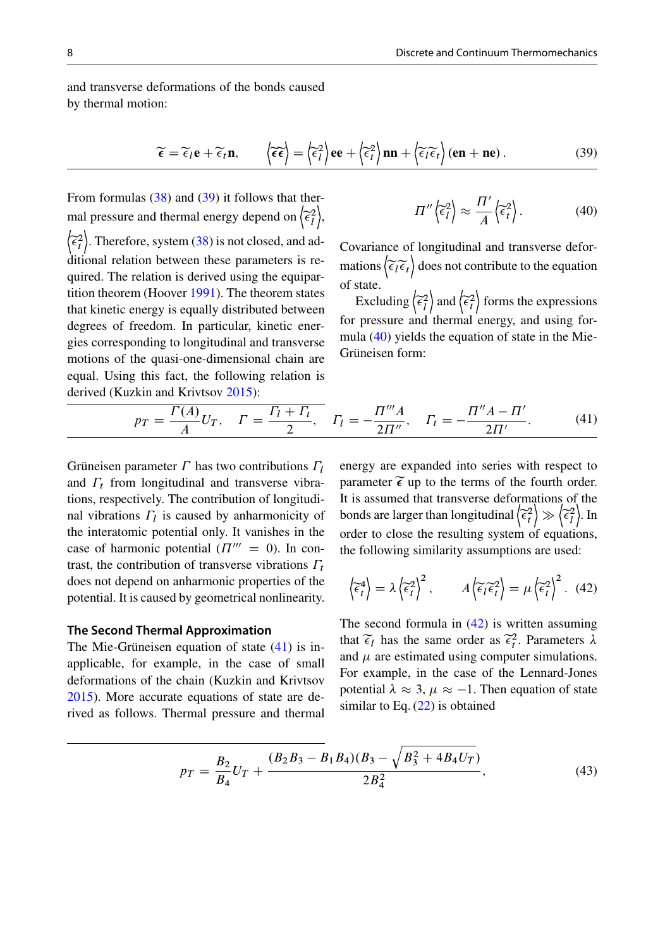and transverse deformations of the bonds caused by thermal motion:

$$
\widetilde{\epsilon} = \widetilde{\epsilon}_l \mathbf{e} + \widetilde{\epsilon}_l \mathbf{n}, \qquad \left\langle \widetilde{\epsilon} \widetilde{\epsilon} \right\rangle = \left\langle \widetilde{\epsilon}_l^2 \right\rangle \mathbf{e} \mathbf{e} + \left\langle \widetilde{\epsilon}_l^2 \right\rangle \mathbf{n} \mathbf{n} + \left\langle \widetilde{\epsilon}_l \widetilde{\epsilon}_l \right\rangle (\mathbf{e} \mathbf{n} + \mathbf{n} \mathbf{e}). \tag{39}
$$

From formulas [\(38\)](#page-6-4) and [\(39\)](#page-7-0) it follows that thermal pressure and thermal energy depend on  $\left\langle \frac{z^2}{f_1} \right\rangle$ ,  $\widetilde{\epsilon}_t^2$ E . Therefore, system [\(38\)](#page-6-4) is not closed, and additional relation between these parameters is required. The relation is derived using the equipartition theorem (Hoover [1991\)](#page-15-5). The theorem states that kinetic energy is equally distributed between degrees of freedom. In particular, kinetic energies corresponding to longitudinal and transverse motions of the quasi-one-dimensional chain are equal. Using this fact, the following relation is derived (Kuzkin and Krivtsov [2015\)](#page-15-10):

<span id="page-7-1"></span><span id="page-7-0"></span>
$$
\Pi''\left\langle \widehat{\epsilon}_l^2 \right\rangle \approx \frac{\Pi'}{A}\left\langle \widehat{\epsilon}_l^2 \right\rangle. \tag{40}
$$

Covariance of longitudinal and transverse deforcovariance of  $\widetilde{\epsilon}_l \widetilde{\epsilon}_t$ i<br>İ does not contribute to the equation of state.  $\overline{1}$ 

state.<br>Excluding  $\langle \tilde{\epsilon}_l^2 \rangle$  $\tan \left( \frac{\epsilon^2}{\epsilon^2} \right)$ forms the expressions for pressure and thermal energy, and using formula [\(40\)](#page-7-1) yields the equation of state in the Mie-Grüneisen form:

$$
p_T = \frac{\Gamma(A)}{A} U_T, \quad \Gamma = \frac{\Gamma_l + \Gamma_t}{2}, \quad \Gamma_l = -\frac{\Pi^{\prime\prime\prime} A}{2\Pi^{\prime\prime}}, \quad \Gamma_t = -\frac{\Pi^{\prime\prime} A - \Pi^{\prime}}{2\Pi^{\prime}}.
$$
(41)

Grüneisen parameter  $\Gamma$  has two contributions  $\Gamma_l$ and  $\Gamma_t$  from longitudinal and transverse vibrations, respectively. The contribution of longitudinal vibrations  $\Gamma_l$  is caused by anharmonicity of the interatomic potential only. It vanishes in the case of harmonic potential  $(\Pi''' = 0)$ . In contrast, the contribution of transverse vibrations  $\Gamma_t$ does not depend on anharmonic properties of the potential. It is caused by geometrical nonlinearity.

#### **The Second Thermal Approximation**

The Mie-Grüneisen equation of state  $(41)$  is inapplicable, for example, in the case of small deformations of the chain (Kuzkin and Krivtsov [2015\)](#page-15-10). More accurate equations of state are derived as follows. Thermal pressure and thermal <span id="page-7-2"></span>energy are expanded into series with respect to parameter  $\tilde{\epsilon}$  up to the terms of the fourth order. It is assumed that transverse deformations of the It is assumed that transverse deformations of the<br>bonds are larger than longitudinal  $\left\langle \tilde{\epsilon}_t^2 \right\rangle \gg \left\langle \tilde{\epsilon}_l^2 \right\rangle$ . In order to close the resulting system of equations, the following similarity assumptions are used:

<span id="page-7-3"></span>
$$
\left\langle \tilde{\epsilon}_t^4 \right\rangle = \lambda \left\langle \tilde{\epsilon}_t^2 \right\rangle^2, \qquad A \left\langle \tilde{\epsilon}_l \tilde{\epsilon}_t^2 \right\rangle = \mu \left\langle \tilde{\epsilon}_l^2 \right\rangle^2. (42)
$$

<span id="page-7-4"></span>The second formula in  $(42)$  is written assuming that  $\widetilde{\epsilon}_l$  has the same order as  $\widetilde{\epsilon}_t^2$ . Parameters  $\lambda$ and  $\mu$  are estimated using computer simulations. For example, in the case of the Lennard-Jones potential  $\lambda \approx 3$ ,  $\mu \approx -1$ . Then equation of state similar to Eq.  $(22)$  is obtained

$$
p_T = \frac{B_2}{B_4}U_T + \frac{(B_2B_3 - B_1B_4)(B_3 - \sqrt{B_3^2 + 4B_4U_T})}{2B_4^2},
$$
\n(43)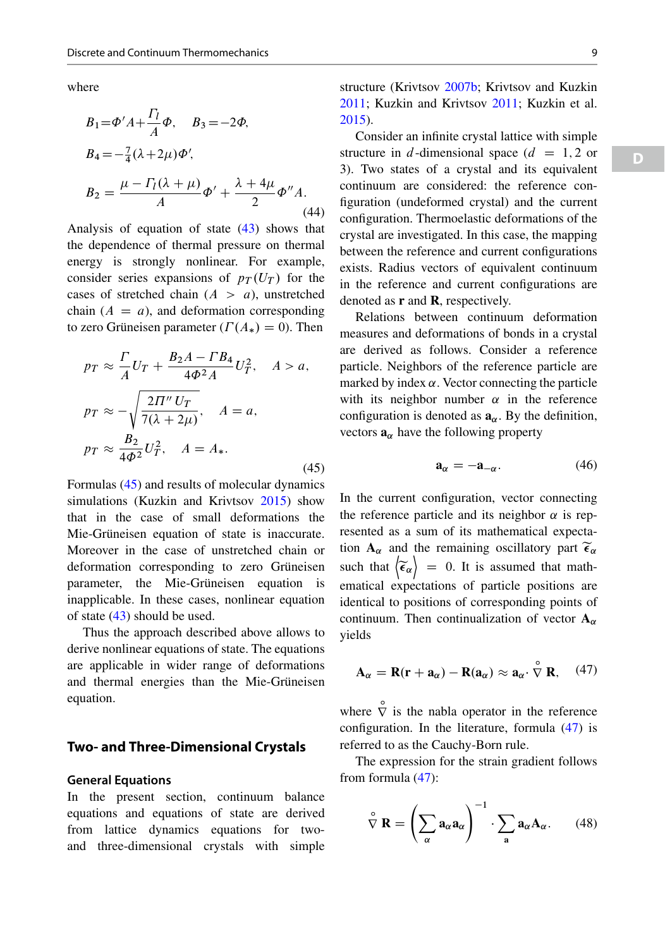where

$$
B_1 = \Phi' A + \frac{\Gamma_l}{A} \Phi, \quad B_3 = -2\Phi,
$$
  
\n
$$
B_4 = -\frac{7}{4} (\lambda + 2\mu) \Phi',
$$
  
\n
$$
B_2 = \frac{\mu - \Gamma_l (\lambda + \mu)}{A} \Phi' + \frac{\lambda + 4\mu}{2} \Phi'' A.
$$
\n(44)

Analysis of equation of state [\(43\)](#page-7-4) shows that the dependence of thermal pressure on thermal energy is strongly nonlinear. For example, consider series expansions of  $p_T(U_T)$  for the cases of stretched chain  $(A > a)$ , unstretched chain  $(A = a)$ , and deformation corresponding to zero Grüneisen parameter  $(\Gamma(A_*) = 0)$ . Then

<span id="page-8-0"></span>
$$
p_T \approx \frac{\Gamma}{A} U_T + \frac{B_2 A - \Gamma B_4}{4\Phi^2 A} U_T^2, \quad A > a,
$$
  

$$
p_T \approx -\sqrt{\frac{2\Pi'' U_T}{7(\lambda + 2\mu)}}, \quad A = a,
$$
  

$$
p_T \approx \frac{B_2}{4\Phi^2} U_T^2, \quad A = A_*
$$
. (45)

Formulas [\(45\)](#page-8-0) and results of molecular dynamics simulations (Kuzkin and Krivtsov [2015\)](#page-15-10) show that in the case of small deformations the Mie-Grüneisen equation of state is inaccurate. Moreover in the case of unstretched chain or deformation corresponding to zero Grüneisen parameter, the Mie-Grüneisen equation is inapplicable. In these cases, nonlinear equation of state  $(43)$  should be used.

Thus the approach described above allows to derive nonlinear equations of state. The equations are applicable in wider range of deformations and thermal energies than the Mie-Grüneisen equation.

## **Two- and Three-Dimensional Crystals**

#### **General Equations**

In the present section, continuum balance equations and equations of state are derived from lattice dynamics equations for twoand three-dimensional crystals with simple structure (Krivtsov [2007b;](#page-15-3) Krivtsov and Kuzkin [2011;](#page-15-11) Kuzkin and Krivtsov [2011;](#page-15-12) Kuzkin et al. [2015\)](#page-15-13).

Consider an infinite crystal lattice with simple structure in d-dimensional space  $(d = 1, 2 \text{ or }$ 3). Two states of a crystal and its equivalent continuum are considered: the reference configuration (undeformed crystal) and the current configuration. Thermoelastic deformations of the crystal are investigated. In this case, the mapping between the reference and current configurations exists. Radius vectors of equivalent continuum in the reference and current configurations are denoted as **r** and **R**, respectively.

Relations between continuum deformation measures and deformations of bonds in a crystal are derived as follows. Consider a reference particle. Neighbors of the reference particle are marked by index  $\alpha$ . Vector connecting the particle with its neighbor number  $\alpha$  in the reference configuration is denoted as  $\mathbf{a}_{\alpha}$ . By the definition, vectors  $\mathbf{a}_{\alpha}$  have the following property

$$
\mathbf{a}_{\alpha} = -\mathbf{a}_{-\alpha}.\tag{46}
$$

In the current configuration, vector connecting the reference particle and its neighbor  $\alpha$  is represented as a sum of its mathematical expectation  $\mathbf{A}_{\alpha}$  and the remaining oscillatory part  $\widetilde{\epsilon}_{\alpha}$ such that  $\langle \tilde{\epsilon}_{\alpha} \rangle = 0$ . It is assumed that mathematical expectations of particle positions are identical to positions of corresponding points of continuum. Then continualization of vector  $A_{\alpha}$ yields

<span id="page-8-1"></span>
$$
A_{\alpha} = R(r + a_{\alpha}) - R(a_{\alpha}) \approx a_{\alpha} \cdot \overset{\circ}{\nabla} R, \quad (47)
$$

where  $\hat{\nabla}$  is the nabla operator in the reference configuration. In the literature, formula [\(47\)](#page-8-1) is referred to as the Cauchy-Born rule.

The expression for the strain gradient follows from formula [\(47\)](#page-8-1):

<span id="page-8-2"></span>
$$
\mathring{\nabla} \mathbf{R} = \left(\sum_{\alpha} \mathbf{a}_{\alpha} \mathbf{a}_{\alpha}\right)^{-1} \cdot \sum_{\mathbf{a}} \mathbf{a}_{\alpha} \mathbf{A}_{\alpha}.
$$
 (48)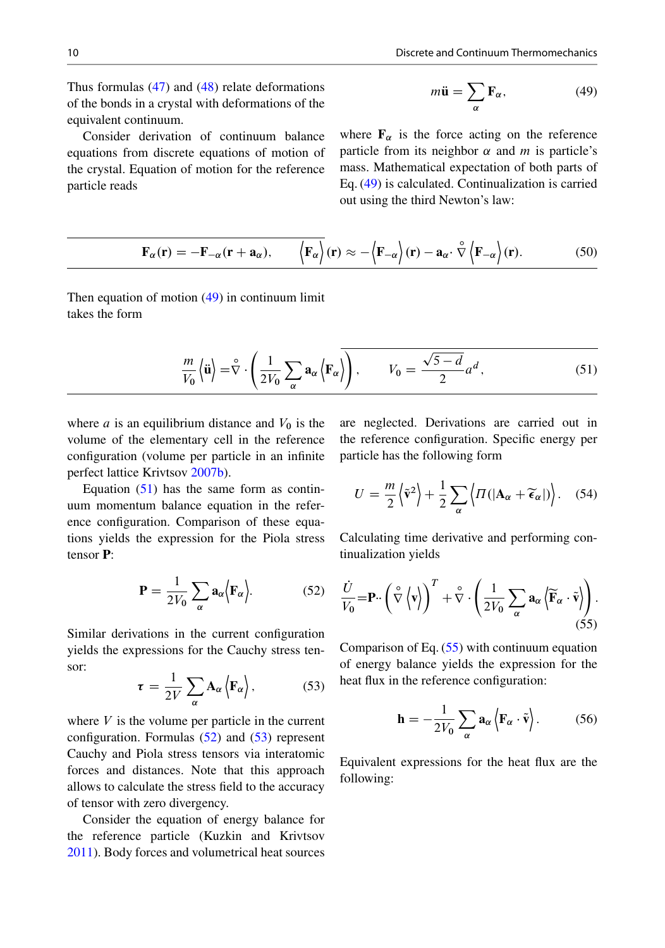Thus formulas  $(47)$  and  $(48)$  relate deformations of the bonds in a crystal with deformations of the equivalent continuum.

Consider derivation of continuum balance equations from discrete equations of motion of the crystal. Equation of motion for the reference particle reads

<span id="page-9-0"></span>
$$
m\ddot{\mathbf{u}} = \sum_{\alpha} \mathbf{F}_{\alpha},\tag{49}
$$

where  $\mathbf{F}_{\alpha}$  is the force acting on the reference particle from its neighbor  $\alpha$  and  $m$  is particle's mass. Mathematical expectation of both parts of Eq. [\(49\)](#page-9-0) is calculated. Continualization is carried out using the third Newton's law:

$$
\mathbf{F}_{\alpha}(\mathbf{r}) = -\mathbf{F}_{-\alpha}(\mathbf{r} + \mathbf{a}_{\alpha}), \qquad \left\langle \mathbf{F}_{\alpha} \right\rangle(\mathbf{r}) \approx -\left\langle \mathbf{F}_{-\alpha} \right\rangle(\mathbf{r}) - \mathbf{a}_{\alpha} \cdot \hat{\nabla} \left\langle \mathbf{F}_{-\alpha} \right\rangle(\mathbf{r}). \tag{50}
$$

Then equation of motion [\(49\)](#page-9-0) in continuum limit takes the form

$$
\frac{m}{V_0} \left\langle \ddot{\mathbf{u}} \right\rangle = \stackrel{\circ}{\nabla} \cdot \left( \frac{1}{2V_0} \sum_{\alpha} \mathbf{a}_{\alpha} \left\langle \mathbf{F}_{\alpha} \right\rangle \right), \qquad V_0 = \frac{\sqrt{5-d}}{2} a^d,
$$
\n(51)

where  $a$  is an equilibrium distance and  $V_0$  is the volume of the elementary cell in the reference configuration (volume per particle in an infinite perfect lattice Krivtsov [2007b\)](#page-15-3).

Equation  $(51)$  has the same form as continuum momentum balance equation in the reference configuration. Comparison of these equations yields the expression for the Piola stress tensor **P**:

<span id="page-9-2"></span>
$$
\mathbf{P} = \frac{1}{2V_0} \sum_{\alpha} \mathbf{a}_{\alpha} \Big| \mathbf{F}_{\alpha} \Big|.
$$
 (52)

Similar derivations in the current configuration yields the expressions for the Cauchy stress tensor:

<span id="page-9-3"></span>
$$
\tau = \frac{1}{2V} \sum_{\alpha} \mathbf{A}_{\alpha} \langle \mathbf{F}_{\alpha} \rangle, \tag{53}
$$

where  $V$  is the volume per particle in the current configuration. Formulas  $(52)$  and  $(53)$  represent Cauchy and Piola stress tensors via interatomic forces and distances. Note that this approach allows to calculate the stress field to the accuracy of tensor with zero divergency.

Consider the equation of energy balance for the reference particle (Kuzkin and Krivtsov [2011\)](#page-15-12). Body forces and volumetrical heat sources

<span id="page-9-1"></span>are neglected. Derivations are carried out in the reference configuration. Specific energy per particle has the following form

<span id="page-9-6"></span>
$$
U = \frac{m}{2} \langle \tilde{\mathbf{v}}^2 \rangle + \frac{1}{2} \sum_{\alpha} \langle \Pi (|\mathbf{A}_{\alpha} + \widetilde{\boldsymbol{\epsilon}}_{\alpha}|) \rangle. \quad (54)
$$

Calculating time derivative and performing continualization yields

<span id="page-9-4"></span>
$$
\frac{\dot{U}}{V_0} = \mathbf{P} \cdot \left( \tilde{\nabla} \left\langle \mathbf{v} \right\rangle \right)^T + \tilde{\nabla} \cdot \left( \frac{1}{2V_0} \sum_{\alpha} \mathbf{a}_{\alpha} \left\langle \widetilde{\mathbf{F}}_{\alpha} \cdot \tilde{\mathbf{v}} \right\rangle \right). \tag{55}
$$

Comparison of Eq. [\(55\)](#page-9-4) with continuum equation of energy balance yields the expression for the heat flux in the reference configuration:

<span id="page-9-5"></span>
$$
\mathbf{h} = -\frac{1}{2V_0} \sum_{\alpha} \mathbf{a}_{\alpha} \langle \mathbf{F}_{\alpha} \cdot \tilde{\mathbf{v}} \rangle.
$$
 (56)

Equivalent expressions for the heat flux are the following: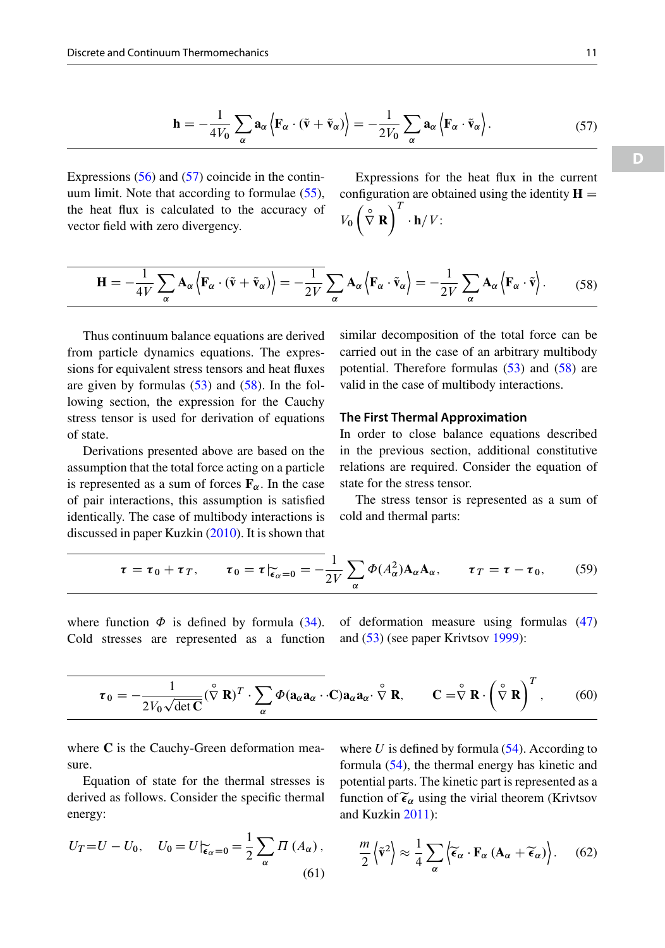$$
\mathbf{h} = -\frac{1}{4V_0} \sum_{\alpha} \mathbf{a}_{\alpha} \left\langle \mathbf{F}_{\alpha} \cdot (\tilde{\mathbf{v}} + \tilde{\mathbf{v}}_{\alpha}) \right\rangle = -\frac{1}{2V_0} \sum_{\alpha} \mathbf{a}_{\alpha} \left\langle \mathbf{F}_{\alpha} \cdot \tilde{\mathbf{v}}_{\alpha} \right\rangle.
$$
 (57)

Expressions  $(56)$  and  $(57)$  coincide in the continuum limit. Note that according to formulae [\(55\)](#page-9-4), the heat flux is calculated to the accuracy of vector field with zero divergency.

Expressions for the heat flux in the current configuration are obtained using the identity  $H =$  $V_0$  $\frac{c}{\sqrt{2}}$  $\nabla$  **R**  $\sqrt{T}$  $\cdot \mathbf{h}/V$  :

$$
\mathbf{H} = -\frac{1}{4V} \sum_{\alpha} \mathbf{A}_{\alpha} \left\langle \mathbf{F}_{\alpha} \cdot (\tilde{\mathbf{v}} + \tilde{\mathbf{v}}_{\alpha}) \right\rangle = -\frac{1}{2V} \sum_{\alpha} \mathbf{A}_{\alpha} \left\langle \mathbf{F}_{\alpha} \cdot \tilde{\mathbf{v}}_{\alpha} \right\rangle = -\frac{1}{2V} \sum_{\alpha} \mathbf{A}_{\alpha} \left\langle \mathbf{F}_{\alpha} \cdot \tilde{\mathbf{v}} \right\rangle. \tag{58}
$$

Thus continuum balance equations are derived from particle dynamics equations. The expressions for equivalent stress tensors and heat fluxes are given by formulas  $(53)$  and  $(58)$ . In the following section, the expression for the Cauchy stress tensor is used for derivation of equations of state.

Derivations presented above are based on the assumption that the total force acting on a particle is represented as a sum of forces  $\mathbf{F}_{\alpha}$ . In the case of pair interactions, this assumption is satisfied identically. The case of multibody interactions is discussed in paper Kuzkin [\(2010\)](#page-15-14). It is shown that

similar decomposition of the total force can be carried out in the case of an arbitrary multibody potential. Therefore formulas  $(53)$  and  $(58)$  are valid in the case of multibody interactions.

## **The First Thermal Approximation**

In order to close balance equations described in the previous section, additional constitutive relations are required. Consider the equation of state for the stress tensor.

The stress tensor is represented as a sum of cold and thermal parts:

$$
\tau = \tau_0 + \tau_T, \qquad \tau_0 = \tau|_{\widetilde{\epsilon}_{\alpha} = 0} = -\frac{1}{2V} \sum_{\alpha} \Phi(A_{\alpha}^2) A_{\alpha} A_{\alpha}, \qquad \tau_T = \tau - \tau_0, \qquad (59)
$$

where function  $\Phi$  is defined by formula [\(34\)](#page-6-1). Cold stresses are represented as a function of deformation measure using formulas [\(47\)](#page-8-1) and [\(53\)](#page-9-3) (see paper Krivtsov [1999\)](#page-15-15):

$$
\boldsymbol{\tau}_0 = -\frac{1}{2V_0\sqrt{\det C}} (\stackrel{\circ}{\nabla} \mathbf{R})^T \cdot \sum_{\alpha} \boldsymbol{\Phi}(\mathbf{a}_{\alpha} \mathbf{a}_{\alpha} \cdot \stackrel{\circ}{\nabla} \mathbf{R}, \qquad \mathbf{C} = \stackrel{\circ}{\nabla} \mathbf{R} \cdot \left(\stackrel{\circ}{\nabla} \mathbf{R}\right)^T, \qquad (60)
$$

where **C** is the Cauchy-Green deformation measure.

Equation of state for the thermal stresses is derived as follows. Consider the specific thermal energy:

$$
U_T = U - U_0, \quad U_0 = U|_{\widetilde{\epsilon}_{\alpha} = 0} = \frac{1}{2} \sum_{\alpha} \Pi (A_{\alpha}),
$$
\n(61)

where  $U$  is defined by formula  $(54)$ . According to formula [\(54\)](#page-9-6), the thermal energy has kinetic and potential parts. The kinetic part is represented as a function of  $\tilde{\epsilon}_{\alpha}$  using the virial theorem (Krivtsov and Kuzkin [2011\)](#page-15-11):

$$
\frac{m}{2}\left\langle \tilde{\mathbf{v}}^2 \right\rangle \approx \frac{1}{4}\sum_{\alpha}\left\langle \tilde{\boldsymbol{\epsilon}}_{\alpha} \cdot \mathbf{F}_{\alpha} \left( \mathbf{A}_{\alpha} + \tilde{\boldsymbol{\epsilon}}_{\alpha} \right) \right\rangle. \tag{62}
$$

<span id="page-10-1"></span><span id="page-10-0"></span>**D**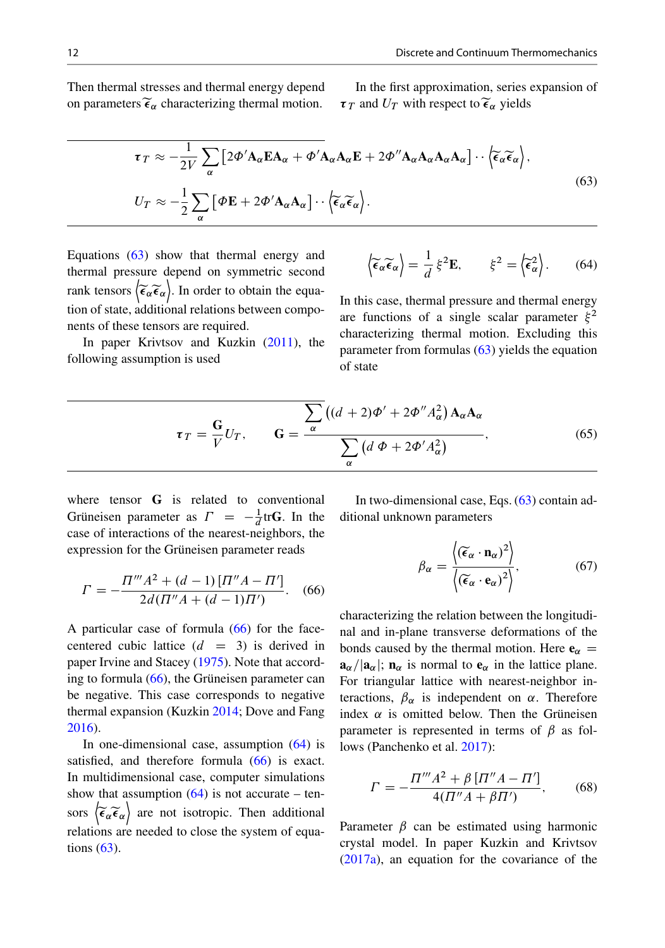Then thermal stresses and thermal energy depend on parameters  $\widetilde{\epsilon}_{\alpha}$  characterizing thermal motion.

In the first approximation, series expansion of  $\tau_T$  and  $U_T$  with respect to  $\tilde{\epsilon}_{\alpha}$  yields

$$
\tau_T \approx -\frac{1}{2V} \sum_{\alpha} \left[ 2\Phi' A_{\alpha} E A_{\alpha} + \Phi' A_{\alpha} A_{\alpha} E + 2\Phi'' A_{\alpha} A_{\alpha} A_{\alpha} A_{\alpha} \right] \cdot \cdot \left\langle \widetilde{\epsilon}_{\alpha} \widetilde{\epsilon}_{\alpha} \right\rangle,
$$
  
\n
$$
U_T \approx -\frac{1}{2} \sum_{\alpha} \left[ \Phi E + 2\Phi' A_{\alpha} A_{\alpha} \right] \cdot \cdot \left\langle \widetilde{\epsilon}_{\alpha} \widetilde{\epsilon}_{\alpha} \right\rangle.
$$
 (63)

Equations  $(63)$  show that thermal energy and thermal pressure depend on symmetric second rank tensors  $\langle \tilde{\epsilon}_{\alpha} \tilde{\epsilon}_{\alpha} \rangle$ . In order to obtain the equation of state, additional relations between components of these tensors are required.

In paper Krivtsov and Kuzkin [\(2011\)](#page-15-11), the following assumption is used

<span id="page-11-2"></span><span id="page-11-0"></span>
$$
\left\langle \widetilde{\epsilon}_{\alpha} \widetilde{\epsilon}_{\alpha} \right\rangle = \frac{1}{d} \xi^2 \mathbf{E}, \qquad \xi^2 = \left\langle \widetilde{\epsilon}_{\alpha}^2 \right\rangle. \tag{64}
$$

In this case, thermal pressure and thermal energy are functions of a single scalar parameter  $\xi^2$ characterizing thermal motion. Excluding this parameter from formulas  $(63)$  yields the equation of state

$$
\tau_T = \frac{G}{V} U_T, \qquad G = \frac{\sum_{\alpha} \left( (d+2)\Phi' + 2\Phi'' A_{\alpha}^2 \right) A_{\alpha} A_{\alpha}}{\sum_{\alpha} \left( d \Phi + 2\Phi' A_{\alpha}^2 \right)}, \tag{65}
$$

where tensor **G** is related to conventional Grüneisen parameter as  $\Gamma = -\frac{1}{d} tr G$ . In the case of interactions of the nearest-neighbors, the expression for the Grüneisen parameter reads

<span id="page-11-1"></span>
$$
\Gamma = -\frac{\Pi''' A^2 + (d-1)\left[\Pi'' A - \Pi'\right]}{2d(\Pi'' A + (d-1)\Pi')}.
$$
 (66)

A particular case of formula  $(66)$  for the facecentered cubic lattice  $(d = 3)$  is derived in paper Irvine and Stacey [\(1975\)](#page-15-16). Note that according to formula  $(66)$ , the Grüneisen parameter can be negative. This case corresponds to negative thermal expansion (Kuzkin [2014;](#page-15-17) Dove and Fang [2016\)](#page-15-18).

In one-dimensional case, assumption [\(64\)](#page-11-2) is satisfied, and therefore formula [\(66\)](#page-11-1) is exact. In multidimensional case, computer simulations show that assumption [\(64\)](#page-11-2) is not accurate – tenshow that assumption (0-) is not accurate – ten-<br>sors  $\langle \tilde{\epsilon}_{\alpha} \tilde{\epsilon}_{\alpha} \rangle$  are not isotropic. Then additional relations are needed to close the system of equations [\(63\)](#page-11-0).

In two-dimensional case, Eqs. [\(63\)](#page-11-0) contain additional unknown parameters

$$
\beta_{\alpha} = \frac{\left\langle (\widetilde{\epsilon}_{\alpha} \cdot \mathbf{n}_{\alpha})^2 \right\rangle}{\left\langle (\widetilde{\epsilon}_{\alpha} \cdot \mathbf{e}_{\alpha})^2 \right\rangle},\tag{67}
$$

characterizing the relation between the longitudinal and in-plane transverse deformations of the bonds caused by the thermal motion. Here  $\mathbf{e}_{\alpha} =$  $\mathbf{a}_{\alpha}/|\mathbf{a}_{\alpha}|$ ;  $\mathbf{n}_{\alpha}$  is normal to  $\mathbf{e}_{\alpha}$  in the lattice plane. For triangular lattice with nearest-neighbor interactions,  $\beta_{\alpha}$  is independent on  $\alpha$ . Therefore index  $\alpha$  is omitted below. Then the Grüneisen parameter is represented in terms of  $\beta$  as follows (Panchenko et al. [2017\)](#page-15-19):

$$
\Gamma = -\frac{\Pi''' A^2 + \beta \left[ \Pi'' A - \Pi' \right]}{4(\Pi'' A + \beta \Pi')} ,\qquad(68)
$$

Parameter  $\beta$  can be estimated using harmonic crystal model. In paper Kuzkin and Krivtsov [\(2017a\)](#page-15-20), an equation for the covariance of the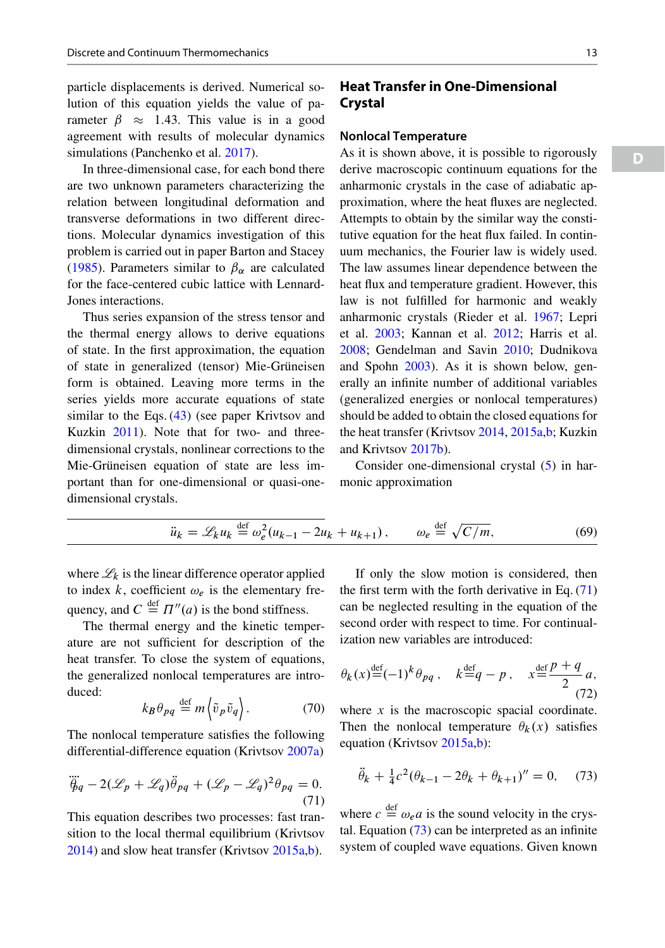particle displacements is derived. Numerical solution of this equation yields the value of parameter  $\beta \approx 1.43$ . This value is in a good agreement with results of molecular dynamics simulations (Panchenko et al. [2017\)](#page-15-19).

In three-dimensional case, for each bond there are two unknown parameters characterizing the relation between longitudinal deformation and transverse deformations in two different directions. Molecular dynamics investigation of this problem is carried out in paper Barton and Stacey [\(1985\)](#page-15-21). Parameters similar to  $\beta_{\alpha}$  are calculated for the face-centered cubic lattice with Lennard-Jones interactions.

Thus series expansion of the stress tensor and the thermal energy allows to derive equations of state. In the first approximation, the equation of state in generalized (tensor) Mie-Grüneisen form is obtained. Leaving more terms in the series yields more accurate equations of state similar to the Eqs. [\(43\)](#page-7-4) (see paper Krivtsov and Kuzkin [2011\)](#page-15-11). Note that for two- and threedimensional crystals, nonlinear corrections to the Mie-Grüneisen equation of state are less important than for one-dimensional or quasi-onedimensional crystals.

# **Heat Transfer in One-Dimensional Crystal**

### **Nonlocal Temperature**

As it is shown above, it is possible to rigorously derive macroscopic continuum equations for the anharmonic crystals in the case of adiabatic approximation, where the heat fluxes are neglected. Attempts to obtain by the similar way the constitutive equation for the heat flux failed. In continuum mechanics, the Fourier law is widely used. The law assumes linear dependence between the heat flux and temperature gradient. However, this law is not fulfilled for harmonic and weakly anharmonic crystals (Rieder et al. [1967;](#page-15-22) Lepri et al. [2003;](#page-15-23) Kannan et al. [2012;](#page-15-24) Harris et al. [2008;](#page-15-25) Gendelman and Savin [2010;](#page-15-26) Dudnikova and Spohn [2003\)](#page-15-27). As it is shown below, generally an infinite number of additional variables (generalized energies or nonlocal temperatures) should be added to obtain the closed equations for the heat transfer (Krivtsov [2014,](#page-15-28) [2015a,](#page-15-29)[b;](#page-15-30) Kuzkin and Krivtsov [2017b\)](#page-15-31).

Consider one-dimensional crystal [\(5\)](#page-2-2) in harmonic approximation

$$
\ddot{u}_k = \mathcal{L}_k u_k \stackrel{\text{def}}{=} \omega_e^2 (u_{k-1} - 2u_k + u_{k+1}), \qquad \omega_e \stackrel{\text{def}}{=} \sqrt{C/m},
$$
(69)

where  $\mathcal{L}_k$  is the linear difference operator applied to index k, coefficient  $\omega_e$  is the elementary frequency, and  $C \stackrel{\text{def}}{=} \Pi''(a)$  is the bond stiffness.

The thermal energy and the kinetic temperature are not sufficient for description of the heat transfer. To close the system of equations, the generalized nonlocal temperatures are introduced:  $\overline{a}$  $\overline{1}$ 

$$
k_B \theta_{pq} \stackrel{\text{def}}{=} m \left\langle \tilde{v}_p \tilde{v}_q \right\rangle. \tag{70}
$$

The nonlocal temperature satisfies the following differential-difference equation (Krivtsov [2007a\)](#page-15-32)

<span id="page-12-0"></span>
$$
\dddot{\mathcal{H}}_q - 2(\mathcal{L}_p + \mathcal{L}_q)\ddot{\theta}_{pq} + (\mathcal{L}_p - \mathcal{L}_q)^2 \theta_{pq} = 0.
$$
\n(71)

This equation describes two processes: fast transition to the local thermal equilibrium (Krivtsov [2014\)](#page-15-28) and slow heat transfer (Krivtsov [2015a](#page-15-29)[,b\)](#page-15-30).

If only the slow motion is considered, then the first term with the forth derivative in Eq.  $(71)$ can be neglected resulting in the equation of the second order with respect to time. For continualization new variables are introduced:

$$
\theta_k(x) \stackrel{\text{def}}{=} (-1)^k \theta_{pq}, \quad k \stackrel{\text{def}}{=} q - p, \quad x \stackrel{\text{def}}{=} \frac{p + q}{2} a,
$$
\n(72)

where  $x$  is the macroscopic spacial coordinate. Then the nonlocal temperature  $\theta_k(x)$  satisfies equation (Krivtsov [2015a](#page-15-29)[,b\)](#page-15-30):

<span id="page-12-1"></span>
$$
\ddot{\theta}_k + \frac{1}{4}c^2(\theta_{k-1} - 2\theta_k + \theta_{k+1})'' = 0, \quad (73)
$$

where  $c \stackrel{\text{def}}{=} \omega_e a$  is the sound velocity in the crystal. Equation  $(73)$  can be interpreted as an infinite system of coupled wave equations. Given known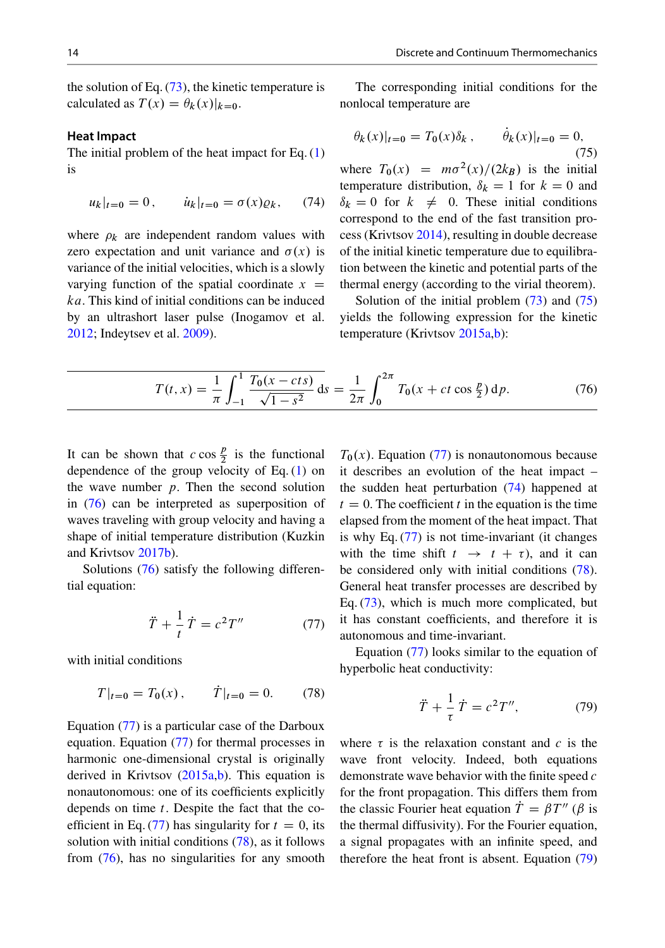the solution of Eq.  $(73)$ , the kinetic temperature is calculated as  $T(x) = \theta_k(x)|_{k=0}$ .

#### **Heat Impact**

The initial problem of the heat impact for Eq. [\(1\)](#page-2-0) is

<span id="page-13-4"></span>
$$
u_k|_{t=0} = 0
$$
,  $\dot{u}_k|_{t=0} = \sigma(x)\varrho_k$ , (74)

where  $\rho_k$  are independent random values with zero expectation and unit variance and  $\sigma(x)$  is variance of the initial velocities, which is a slowly varying function of the spatial coordinate  $x =$ ka. This kind of initial conditions can be induced by an ultrashort laser pulse (Inogamov et al. [2012;](#page-15-33) Indeytsev et al. [2009\)](#page-15-34).

The corresponding initial conditions for the nonlocal temperature are

<span id="page-13-0"></span>
$$
\theta_k(x)|_{t=0} = T_0(x)\delta_k, \qquad \dot{\theta}_k(x)|_{t=0} = 0,
$$
\n(75)

where  $T_0(x) = m\sigma^2(x)/(2k_B)$  is the initial temperature distribution,  $\delta_k = 1$  for  $k = 0$  and  $\delta_k = 0$  for  $k \neq 0$ . These initial conditions correspond to the end of the fast transition process (Krivtsov [2014\)](#page-15-28), resulting in double decrease of the initial kinetic temperature due to equilibration between the kinetic and potential parts of the thermal energy (according to the virial theorem).

<span id="page-13-1"></span>Solution of the initial problem  $(73)$  and  $(75)$ yields the following expression for the kinetic temperature (Krivtsov [2015a,](#page-15-29)[b\)](#page-15-30):

$$
T(t,x) = \frac{1}{\pi} \int_{-1}^{1} \frac{T_0(x - cts)}{\sqrt{1 - s^2}} ds = \frac{1}{2\pi} \int_{0}^{2\pi} T_0(x + ct \cos \frac{p}{2}) dp.
$$
 (76)

It can be shown that  $c \cos \frac{p}{2}$  is the functional dependence of the group velocity of Eq.  $(1)$  on the wave number  $p$ . Then the second solution in [\(76\)](#page-13-1) can be interpreted as superposition of waves traveling with group velocity and having a shape of initial temperature distribution (Kuzkin and Krivtsov [2017b\)](#page-15-31).

Solutions [\(76\)](#page-13-1) satisfy the following differential equation:

<span id="page-13-2"></span>
$$
\ddot{T} + \frac{1}{t}\dot{T} = c^2 T'' \tag{77}
$$

with initial conditions

<span id="page-13-3"></span>
$$
T|_{t=0} = T_0(x), \qquad \dot{T}|_{t=0} = 0. \tag{78}
$$

Equation [\(77\)](#page-13-2) is a particular case of the Darboux equation. Equation [\(77\)](#page-13-2) for thermal processes in harmonic one-dimensional crystal is originally derived in Krivtsov  $(2015a,b)$  $(2015a,b)$ . This equation is nonautonomous: one of its coefficients explicitly depends on time  $t$ . Despite the fact that the co-efficient in Eq. [\(77\)](#page-13-2) has singularity for  $t = 0$ , its solution with initial conditions [\(78\)](#page-13-3), as it follows from [\(76\)](#page-13-1), has no singularities for any smooth

 $T_0(x)$ . Equation [\(77\)](#page-13-2) is nonautonomous because it describes an evolution of the heat impact – the sudden heat perturbation [\(74\)](#page-13-4) happened at  $t = 0$ . The coefficient t in the equation is the time elapsed from the moment of the heat impact. That is why Eq.  $(77)$  is not time-invariant (it changes with the time shift  $t \rightarrow t + \tau$ , and it can be considered only with initial conditions [\(78\)](#page-13-3). General heat transfer processes are described by Eq. [\(73\)](#page-12-1), which is much more complicated, but it has constant coefficients, and therefore it is autonomous and time-invariant.

Equation [\(77\)](#page-13-2) looks similar to the equation of hyperbolic heat conductivity:

<span id="page-13-5"></span>
$$
\ddot{T} + \frac{1}{\tau}\dot{T} = c^2T'',\qquad(79)
$$

where  $\tau$  is the relaxation constant and c is the wave front velocity. Indeed, both equations demonstrate wave behavior with the finite speed c for the front propagation. This differs them from the classic Fourier heat equation  $T = \beta T''$  ( $\beta$  is the thermal diffusivity). For the Fourier equation, a signal propagates with an infinite speed, and therefore the heat front is absent. Equation [\(79\)](#page-13-5)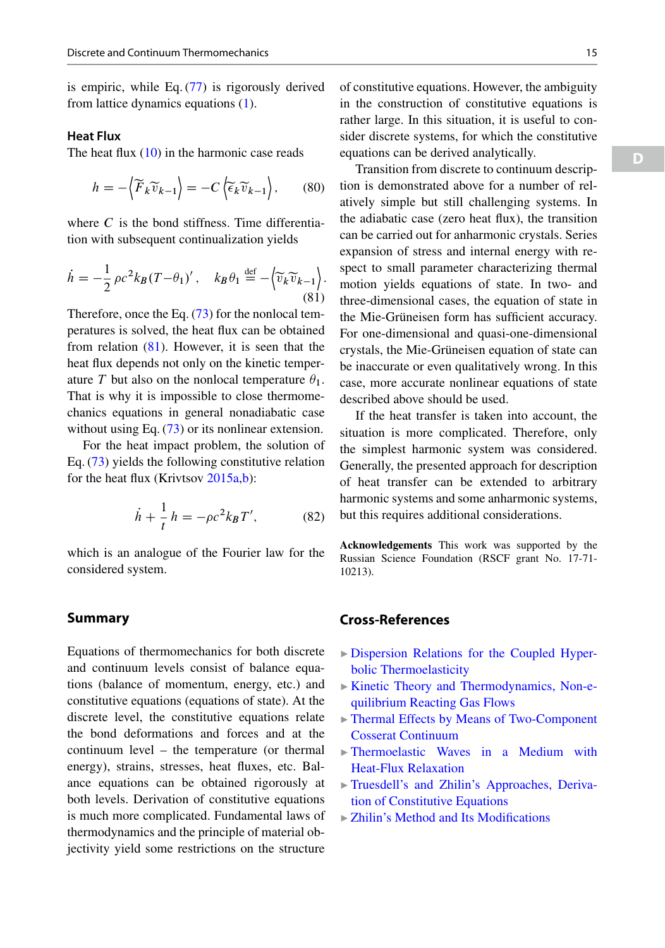is empiric, while Eq. [\(77\)](#page-13-2) is rigorously derived from lattice dynamics equations [\(1\)](#page-2-0).

## **Heat Flux**

The heat flux  $(10)$  in the harmonic case reads

$$
h = -\left\langle \widetilde{F}_k \widetilde{v}_{k-1} \right\rangle = -C \left\langle \widetilde{\epsilon}_k \widetilde{v}_{k-1} \right\rangle, \qquad (80)
$$

where  $C$  is the bond stiffness. Time differentiation with subsequent continualization yields

<span id="page-14-0"></span>
$$
\dot{h} = -\frac{1}{2} \rho c^2 k_B (T - \theta_1)', \quad k_B \theta_1 \stackrel{\text{def}}{=} -\left\langle \widetilde{v}_k \widetilde{v}_{k-1} \right\rangle. \tag{81}
$$

Therefore, once the Eq.  $(73)$  for the nonlocal temperatures is solved, the heat flux can be obtained from relation [\(81\)](#page-14-0). However, it is seen that the heat flux depends not only on the kinetic temperature T but also on the nonlocal temperature  $\theta_1$ . That is why it is impossible to close thermomechanics equations in general nonadiabatic case without using Eq.  $(73)$  or its nonlinear extension.

For the heat impact problem, the solution of Eq. [\(73\)](#page-12-1) yields the following constitutive relation for the heat flux (Krivtsov [2015a](#page-15-29)[,b\)](#page-15-30):

$$
\dot{h} + \frac{1}{t}h = -\rho c^2 k_B T',\qquad(82)
$$

which is an analogue of the Fourier law for the considered system.

#### **Summary**

Equations of thermomechanics for both discrete and continuum levels consist of balance equations (balance of momentum, energy, etc.) and constitutive equations (equations of state). At the discrete level, the constitutive equations relate the bond deformations and forces and at the continuum level – the temperature (or thermal energy), strains, stresses, heat fluxes, etc. Balance equations can be obtained rigorously at both levels. Derivation of constitutive equations is much more complicated. Fundamental laws of thermodynamics and the principle of material objectivity yield some restrictions on the structure of constitutive equations. However, the ambiguity in the construction of constitutive equations is rather large. In this situation, it is useful to consider discrete systems, for which the constitutive equations can be derived analytically.

Transition from discrete to continuum description is demonstrated above for a number of relatively simple but still challenging systems. In the adiabatic case (zero heat flux), the transition can be carried out for anharmonic crystals. Series expansion of stress and internal energy with respect to small parameter characterizing thermal motion yields equations of state. In two- and three-dimensional cases, the equation of state in the Mie-Grüneisen form has sufficient accuracy. For one-dimensional and quasi-one-dimensional crystals, the Mie-Grüneisen equation of state can be inaccurate or even qualitatively wrong. In this case, more accurate nonlinear equations of state described above should be used.

If the heat transfer is taken into account, the situation is more complicated. Therefore, only the simplest harmonic system was considered. Generally, the presented approach for description of heat transfer can be extended to arbitrary harmonic systems and some anharmonic systems, but this requires additional considerations.

**Acknowledgements** This work was supported by the Russian Science Foundation (RSCF grant No. 17-71- 10213).

## **Cross-References**

- [Dispersion Relations for the Coupled Hyper](http://link.springer.com/Dispersion Relations for the Coupled Hyperbolic Thermoelasticity)bolic Thermoelasticity
- [Kinetic Theory and Thermodynamics, Non-e](http://link.springer.com/Kinetic Theory and Thermodynamics, Non-equilibrium Reacting Gas Flows)quilibrium Reacting Gas Flows
- [Thermal Effects by Means of Two-Component](http://link.springer.com/Thermal Effects by Means of Two-Component Cosserat Continuum) Cosserat Continuum
- [Thermoelastic Waves in a Medium with](http://link.springer.com/Thermoelastic Waves in a Medium with Heat-Flux Relaxation) Heat-Flux Relaxation
- [Truesdell's and Zhilin's Approaches, Deriva](http://link.springer.com/Truesdell)tion of Constitutive Equations
- [Zhilin's Method and Its Modifications](http://link.springer.com/Zhilin)